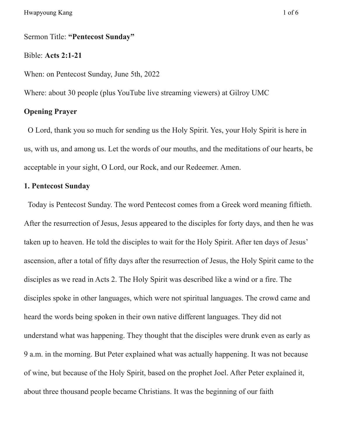### Sermon Title: **"Pentecost Sunday"**

#### Bible: **Acts 2:1-21**

When: on Pentecost Sunday, June 5th, 2022

Where: about 30 people (plus YouTube live streaming viewers) at Gilroy UMC

# **Opening Prayer**

O Lord, thank you so much for sending us the Holy Spirit. Yes, your Holy Spirit is here in us, with us, and among us. Let the words of our mouths, and the meditations of our hearts, be acceptable in your sight, O Lord, our Rock, and our Redeemer. Amen.

# **1. Pentecost Sunday**

Today is Pentecost Sunday. The word Pentecost comes from a Greek word meaning fiftieth. After the resurrection of Jesus, Jesus appeared to the disciples for forty days, and then he was taken up to heaven. He told the disciples to wait for the Holy Spirit. After ten days of Jesus' ascension, after a total of fifty days after the resurrection of Jesus, the Holy Spirit came to the disciples as we read in Acts 2. The Holy Spirit was described like a wind or a fire. The disciples spoke in other languages, which were not spiritual languages. The crowd came and heard the words being spoken in their own native different languages. They did not understand what was happening. They thought that the disciples were drunk even as early as 9 a.m. in the morning. But Peter explained what was actually happening. It was not because of wine, but because of the Holy Spirit, based on the prophet Joel. After Peter explained it, about three thousand people became Christians. It was the beginning of our faith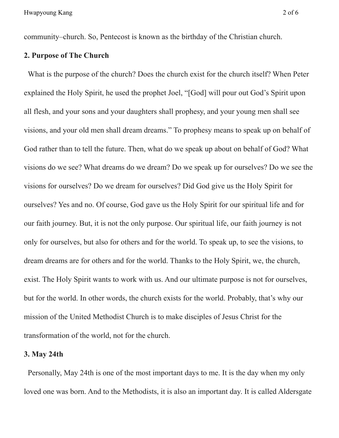community–church. So, Pentecost is known as the birthday of the Christian church.

# **2. Purpose of The Church**

What is the purpose of the church? Does the church exist for the church itself? When Peter explained the Holy Spirit, he used the prophet Joel, "[God] will pour out God's Spirit upon all flesh, and your sons and your daughters shall prophesy, and your young men shall see visions, and your old men shall dream dreams." To prophesy means to speak up on behalf of God rather than to tell the future. Then, what do we speak up about on behalf of God? What visions do we see? What dreams do we dream? Do we speak up for ourselves? Do we see the visions for ourselves? Do we dream for ourselves? Did God give us the Holy Spirit for ourselves? Yes and no. Of course, God gave us the Holy Spirit for our spiritual life and for our faith journey. But, it is not the only purpose. Our spiritual life, our faith journey is not only for ourselves, but also for others and for the world. To speak up, to see the visions, to dream dreams are for others and for the world. Thanks to the Holy Spirit, we, the church, exist. The Holy Spirit wants to work with us. And our ultimate purpose is not for ourselves, but for the world. In other words, the church exists for the world. Probably, that's why our mission of the United Methodist Church is to make disciples of Jesus Christ for the transformation of the world, not for the church.

# **3. May 24th**

Personally, May 24th is one of the most important days to me. It is the day when my only loved one was born. And to the Methodists, it is also an important day. It is called Aldersgate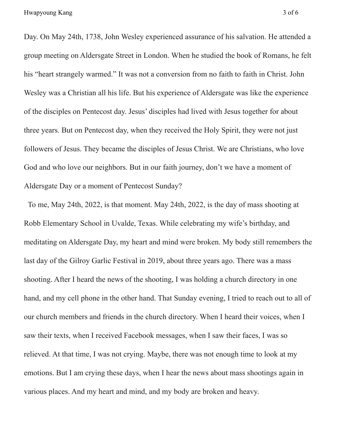Day. On May 24th, 1738, John Wesley experienced assurance of his salvation. He attended a group meeting on Aldersgate Street in London. When he studied the book of Romans, he felt his "heart strangely warmed." It was not a conversion from no faith to faith in Christ. John Wesley was a Christian all his life. But his experience of Aldersgate was like the experience of the disciples on Pentecost day. Jesus' disciples had lived with Jesus together for about three years. But on Pentecost day, when they received the Holy Spirit, they were not just followers of Jesus. They became the disciples of Jesus Christ. We are Christians, who love God and who love our neighbors. But in our faith journey, don't we have a moment of Aldersgate Day or a moment of Pentecost Sunday?

To me, May 24th, 2022, is that moment. May 24th, 2022, is the day of mass shooting at Robb Elementary School in Uvalde, Texas. While celebrating my wife's birthday, and meditating on Aldersgate Day, my heart and mind were broken. My body still remembers the last day of the Gilroy Garlic Festival in 2019, about three years ago. There was a mass shooting. After I heard the news of the shooting, I was holding a church directory in one hand, and my cell phone in the other hand. That Sunday evening, I tried to reach out to all of our church members and friends in the church directory. When I heard their voices, when I saw their texts, when I received Facebook messages, when I saw their faces, I was so relieved. At that time, I was not crying. Maybe, there was not enough time to look at my emotions. But I am crying these days, when I hear the news about mass shootings again in various places. And my heart and mind, and my body are broken and heavy.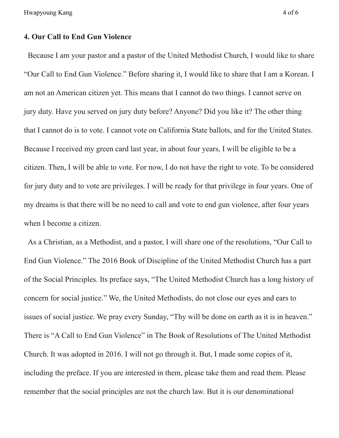Hwapyoung Kang 4 of 6

### **4. Our Call to End Gun Violence**

Because I am your pastor and a pastor of the United Methodist Church, I would like to share "Our Call to End Gun Violence." Before sharing it, I would like to share that I am a Korean. I am not an American citizen yet. This means that I cannot do two things. I cannot serve on jury duty. Have you served on jury duty before? Anyone? Did you like it? The other thing that I cannot do is to vote. I cannot vote on California State ballots, and for the United States. Because I received my green card last year, in about four years, I will be eligible to be a citizen. Then, I will be able to vote. For now, I do not have the right to vote. To be considered for jury duty and to vote are privileges. I will be ready for that privilege in four years. One of my dreams is that there will be no need to call and vote to end gun violence, after four years when I become a citizen.

As a Christian, as a Methodist, and a pastor, I will share one of the resolutions, "Our Call to End Gun Violence." The 2016 Book of Discipline of the United Methodist Church has a part of the Social Principles. Its preface says, "The United Methodist Church has a long history of concern for social justice." We, the United Methodists, do not close our eyes and ears to issues of social justice. We pray every Sunday, "Thy will be done on earth as it is in heaven." There is "A Call to End Gun Violence" in The Book of Resolutions of The United Methodist Church. It was adopted in 2016. I will not go through it. But, I made some copies of it, including the preface. If you are interested in them, please take them and read them. Please remember that the social principles are not the church law. But it is our denominational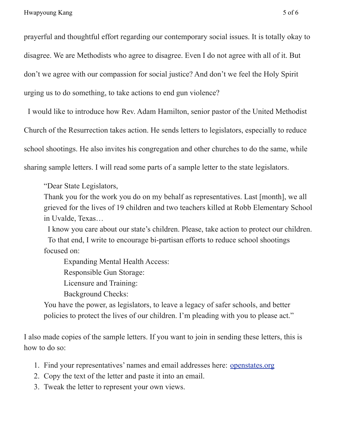prayerful and thoughtful effort regarding our contemporary social issues. It is totally okay to disagree. We are Methodists who agree to disagree. Even I do not agree with all of it. But don't we agree with our compassion for social justice? And don't we feel the Holy Spirit urging us to do something, to take actions to end gun violence?

I would like to introduce how Rev. Adam Hamilton, senior pastor of the United Methodist Church of the Resurrection takes action. He sends letters to legislators, especially to reduce school shootings. He also invites his congregation and other churches to do the same, while sharing sample letters. I will read some parts of a sample letter to the state legislators.

"Dear State Legislators,

Thank you for the work you do on my behalf as representatives. Last [month], we all grieved for the lives of 19 children and two teachers killed at Robb Elementary School in Uvalde, Texas…

I know you care about our state's children. Please, take action to protect our children. To that end, I write to encourage bi-partisan efforts to reduce school shootings focused on:

Expanding Mental Health Access:

Responsible Gun Storage:

Licensure and Training:

Background Checks:

You have the power, as legislators, to leave a legacy of safer schools, and better policies to protect the lives of our children. I'm pleading with you to please act."

I also made copies of the sample letters. If you want to join in sending these letters, this is how to do so:

- 1. Find your representatives' names and email addresses here: [openstates.org](https://campbellunited.us9.list-manage.com/track/click?u=7f1495b91ffb57fcf3073b7db&id=fd5e78890b&e=355b1a6fcb)
- 2. Copy the text of the letter and paste it into an email.
- 3. Tweak the letter to represent your own views.